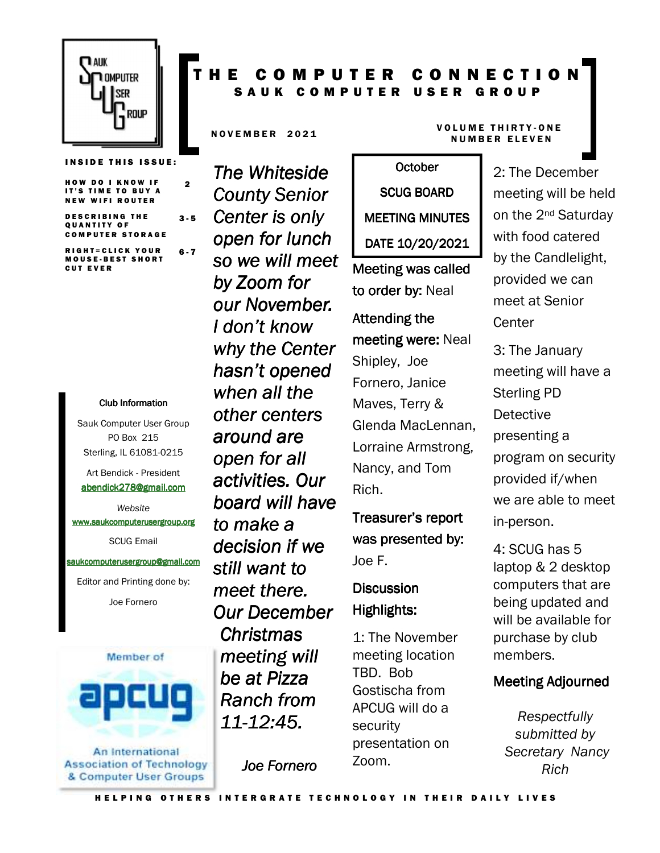

**INSIDE THIS ISSUE:** 

2

HOW DO I KNOW IF IT'S TIME TO BUY A NEW WIFI ROUTER

DESCRIBING THE QUANTITY OF **COMPUTER STORAGE** 3 - 5

R I G H T = C L I C K Y O U R M O U S E - B E S T S H O R T **CUT EVER** 6 - 7

#### Club Information Club Information

Sauk Computer User Group PO Box 215 Sterling, IL 61081-0215

Art Bendick - President abendick278@gmail.com

*Website*  www.saukcomputerusergroup.org SCUG Email

#### saukcomputerusergroup@gmail.com

Editor and Printing done by: Joe Fornero



An International **Association of Technology** & Computer User Groups

# T H E C O M P U T E R C O N N E C T I O N SAUK COMPUTER USER GROUP

*The Whiteside County Senior Center is only open for lunch so we will meet by Zoom for our November. I don't know why the Center hasn't opened when all the other centers around are open for all activities. Our board will have to make a decision if we still want to meet there. Our December Christmas meeting will be at Pizza Ranch from 11-12:45.* 

*Joe Fornero* 

#### N OVEMBER 2021 VOLUME THIRTY-ONE **NUMBER ELEVEN**

# **October** SCUG BOARD MEETING MINUTES DATE 10/20/2021

Meeting was called to order by: Neal

# Attending the meeting were: Neal Shipley, Joe Fornero, Janice Maves, Terry & Glenda MacLennan, Lorraine Armstrong, Nancy, and Tom Rich.

Treasurer's report was presented by: Joe F.

# **Discussion** Highlights: Highlights:

1: The November meeting location TBD. Bob Gostischa from APCUG will do a security presentation on Zoom.

2: The December meeting will be held on the 2nd Saturday with food catered by the Candlelight, provided we can meet at Senior **Center** 

3: The January meeting will have a Sterling PD Detective presenting a program on security provided if/when we are able to meet in-person.

4: SCUG has 5 laptop & 2 desktop computers that are being updated and will be available for purchase by club members.

#### **Meeting Adjourned**

*Respectfully submitted by Secretary Nancy Rich*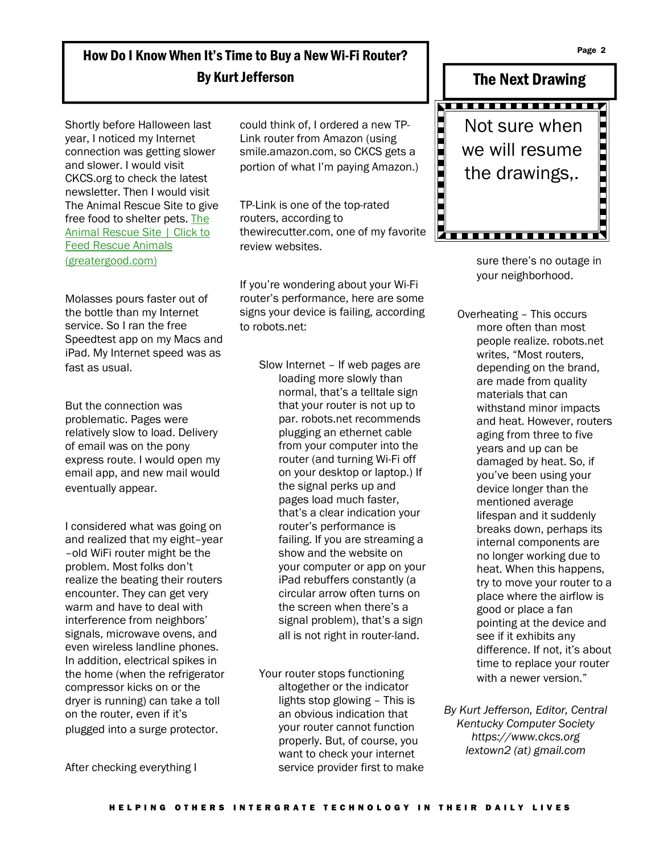Page 2

# How Do I Know When It's Time to Buy a New Wi-Fi Router? By Kurt Jefferson

Shortly before Halloween last year, I noticed my Internet connection was getting slower and slower. I would visit CKCS.org to check the latest newsletter. Then I would visit The Animal Rescue Site to give free food to shelter pets. The Animal Rescue Site | Click to Feed Rescue Animals (greatergood.com)

Molasses pours faster out of the bottle than my Internet service. So I ran the free Speedtest app on my Macs and iPad. My Internet speed was as fast as usual.

But the connection was problematic. Pages were relatively slow to load. Delivery of email was on the pony express route. I would open my email app, and new mail would eventually appear.

I considered what was going on and realized that my eight–year –old WiFi router might be the problem. Most folks don't realize the beating their routers encounter. They can get very warm and have to deal with interference from neighbors' signals, microwave ovens, and even wireless landline phones. In addition, electrical spikes in the home (when the refrigerator compressor kicks on or the dryer is running) can take a toll on the router, even if it's plugged into a surge protector.

After checking everything I

H E L P I N G O THE R S I N T E R G R A T E T E C H N O L O G Y I N T H E I R D A I L Y L I V E S

could think of, I ordered a new TP-Link router from Amazon (using smile.amazon.com, so CKCS gets a portion of what I'm paying Amazon.)

TP-Link is one of the top-rated routers, according to thewirecutter.com, one of my favorite review websites.

If you're wondering about your Wi-Fi router's performance, here are some signs your device is failing, according to robots.net:

> Slow Internet – If web pages are loading more slowly than normal, that's a telltale sign that your router is not up to par. robots.net recommends plugging an ethernet cable from your computer into the router (and turning Wi-Fi off on your desktop or laptop.) If the signal perks up and pages load much faster, that's a clear indication your router's performance is failing. If you are streaming a show and the website on your computer or app on your iPad rebuffers constantly (a circular arrow often turns on the screen when there's a signal problem), that's a sign all is not right in router-land.

Your router stops functioning altogether or the indicator lights stop glowing – This is an obvious indication that your router cannot function properly. But, of course, you want to check your internet service provider first to make



sure there's no outage in your neighborhood.

Overheating – This occurs more often than most people realize. robots.net writes, "Most routers, depending on the brand, are made from quality materials that can withstand minor impacts and heat. However, routers aging from three to five years and up can be damaged by heat. So, if you've been using your device longer than the mentioned average lifespan and it suddenly breaks down, perhaps its internal components are no longer working due to heat. When this happens, try to move your router to a place where the airflow is good or place a fan pointing at the device and see if it exhibits any difference. If not, it's about time to replace your router with a newer version."

*By Kurt Jefferson, Editor, Central Kentucky Computer Society https://www.ckcs.org lextown2 (at) gmail.com*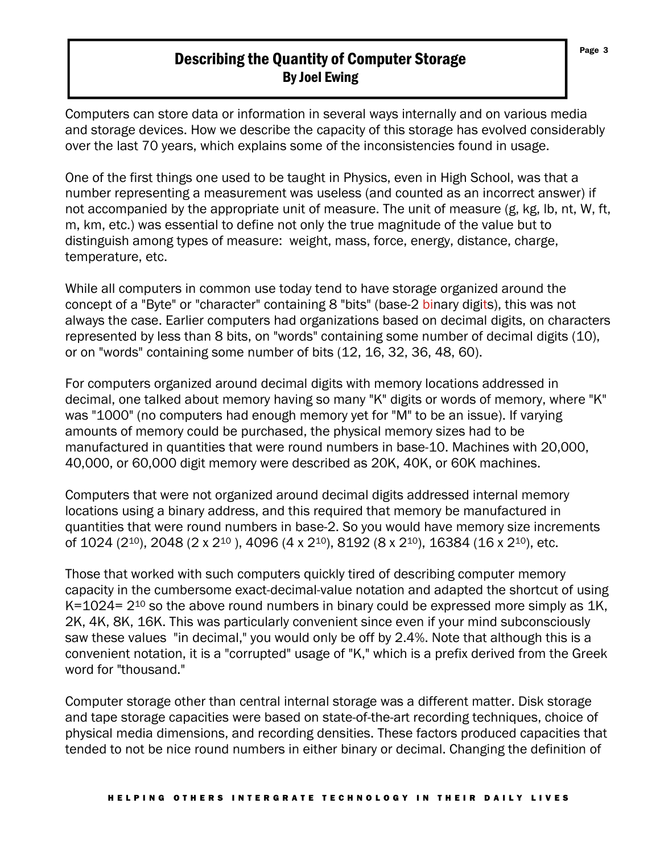### Describing the Quantity of Computer Storage By Joel Ewing

Computers can store data or information in several ways internally and on various media and storage devices. How we describe the capacity of this storage has evolved considerably over the last 70 years, which explains some of the inconsistencies found in usage.

One of the first things one used to be taught in Physics, even in High School, was that a number representing a measurement was useless (and counted as an incorrect answer) if not accompanied by the appropriate unit of measure. The unit of measure (g, kg, lb, nt, W, ft, m, km, etc.) was essential to define not only the true magnitude of the value but to distinguish among types of measure: weight, mass, force, energy, distance, charge, temperature, etc.

While all computers in common use today tend to have storage organized around the concept of a "Byte" or "character" containing 8 "bits" (base-2 binary digits), this was not always the case. Earlier computers had organizations based on decimal digits, on characters represented by less than 8 bits, on "words" containing some number of decimal digits (10), or on "words" containing some number of bits (12, 16, 32, 36, 48, 60).

For computers organized around decimal digits with memory locations addressed in decimal, one talked about memory having so many "K" digits or words of memory, where "K" was "1000" (no computers had enough memory yet for "M" to be an issue). If varying amounts of memory could be purchased, the physical memory sizes had to be manufactured in quantities that were round numbers in base-10. Machines with 20,000, 40,000, or 60,000 digit memory were described as 20K, 40K, or 60K machines.

Computers that were not organized around decimal digits addressed internal memory locations using a binary address, and this required that memory be manufactured in quantities that were round numbers in base-2. So you would have memory size increments of 1024 (210), 2048 (2 x 210 ), 4096 (4 x 210), 8192 (8 x 210), 16384 (16 x 210), etc.

Those that worked with such computers quickly tired of describing computer memory capacity in the cumbersome exact-decimal-value notation and adapted the shortcut of using K=1024= 2<sup>10</sup> so the above round numbers in binary could be expressed more simply as 1K, 2K, 4K, 8K, 16K. This was particularly convenient since even if your mind subconsciously saw these values "in decimal," you would only be off by 2.4%. Note that although this is a convenient notation, it is a "corrupted" usage of "K," which is a prefix derived from the Greek word for "thousand."

Computer storage other than central internal storage was a different matter. Disk storage and tape storage capacities were based on state-of-the-art recording techniques, choice of physical media dimensions, and recording densities. These factors produced capacities that tended to not be nice round numbers in either binary or decimal. Changing the definition of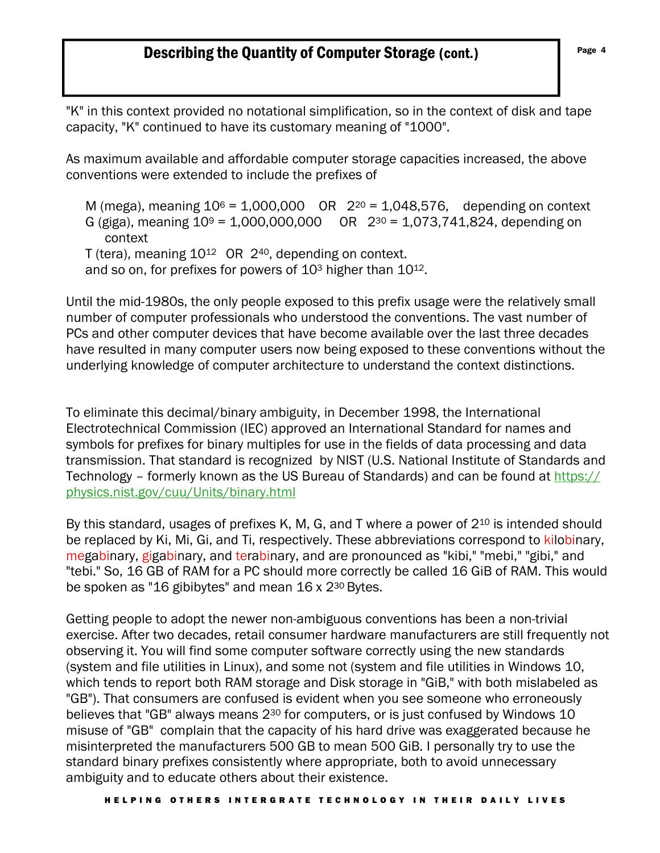# **Describing the Quantity of Computer Storage (cont.)** Page 4

"K" in this context provided no notational simplification, so in the context of disk and tape capacity, "K" continued to have its customary meaning of "1000".

As maximum available and affordable computer storage capacities increased, the above conventions were extended to include the prefixes of

M (mega), meaning  $10^6$  = 1,000,000 OR  $2^{20}$  = 1,048,576, depending on context G (giga), meaning  $10^9 = 1,000,000,000$  OR  $2^{30} = 1,073,741,824$ , depending on context T (tera), meaning 10<sup>12</sup> OR 2<sup>40</sup>, depending on context. and so on, for prefixes for powers of 103 higher than 1012.

Until the mid-1980s, the only people exposed to this prefix usage were the relatively small number of computer professionals who understood the conventions. The vast number of PCs and other computer devices that have become available over the last three decades have resulted in many computer users now being exposed to these conventions without the underlying knowledge of computer architecture to understand the context distinctions.

To eliminate this decimal/binary ambiguity, in December 1998, the International Electrotechnical Commission (IEC) approved an International Standard for names and symbols for prefixes for binary multiples for use in the fields of data processing and data transmission. That standard is recognized by NIST (U.S. National Institute of Standards and Technology – formerly known as the US Bureau of Standards) and can be found at https:// physics.nist.gov/cuu/Units/binary.html

By this standard, usages of prefixes K, M, G, and T where a power of 2<sup>10</sup> is intended should be replaced by Ki, Mi, Gi, and Ti, respectively. These abbreviations correspond to kilobinary. megabinary, gigabinary, and terabinary, and are pronounced as "kibi," "mebi," "gibi," and "tebi." So, 16 GB of RAM for a PC should more correctly be called 16 GiB of RAM. This would be spoken as "16 gibibytes" and mean 16 x 2<sup>30</sup> Bytes.

Getting people to adopt the newer non-ambiguous conventions has been a non-trivial exercise. After two decades, retail consumer hardware manufacturers are still frequently not observing it. You will find some computer software correctly using the new standards (system and file utilities in Linux), and some not (system and file utilities in Windows 10, which tends to report both RAM storage and Disk storage in "GiB," with both mislabeled as "GB"). That consumers are confused is evident when you see someone who erroneously believes that "GB" always means 230 for computers, or is just confused by Windows 10 misuse of "GB" complain that the capacity of his hard drive was exaggerated because he misinterpreted the manufacturers 500 GB to mean 500 GiB. I personally try to use the standard binary prefixes consistently where appropriate, both to avoid unnecessary ambiguity and to educate others about their existence.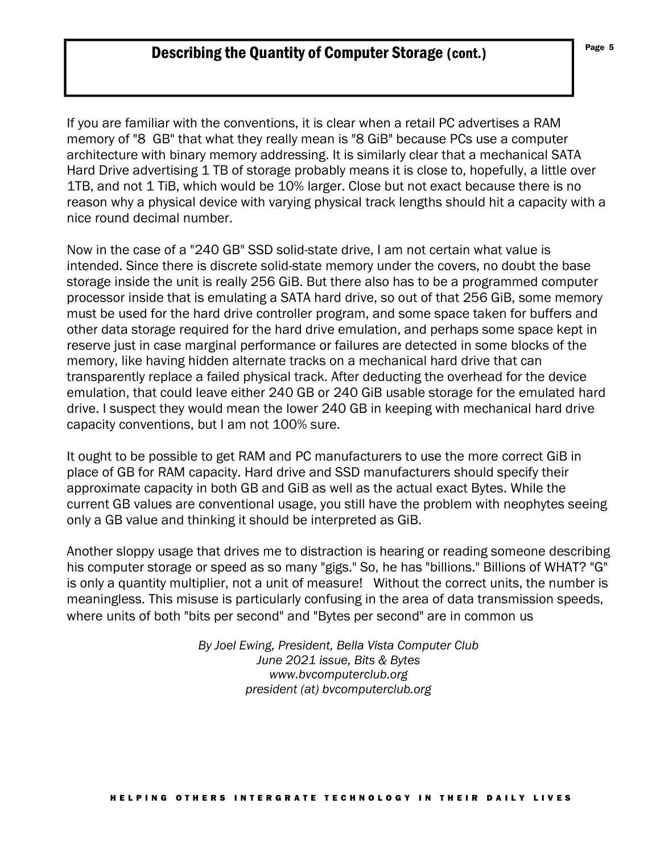If you are familiar with the conventions, it is clear when a retail PC advertises a RAM memory of "8 GB" that what they really mean is "8 GiB" because PCs use a computer architecture with binary memory addressing. It is similarly clear that a mechanical SATA Hard Drive advertising 1 TB of storage probably means it is close to, hopefully, a little over 1TB, and not 1 TiB, which would be 10% larger. Close but not exact because there is no reason why a physical device with varying physical track lengths should hit a capacity with a nice round decimal number.

Now in the case of a "240 GB" SSD solid-state drive, I am not certain what value is intended. Since there is discrete solid-state memory under the covers, no doubt the base storage inside the unit is really 256 GiB. But there also has to be a programmed computer processor inside that is emulating a SATA hard drive, so out of that 256 GiB, some memory must be used for the hard drive controller program, and some space taken for buffers and other data storage required for the hard drive emulation, and perhaps some space kept in reserve just in case marginal performance or failures are detected in some blocks of the memory, like having hidden alternate tracks on a mechanical hard drive that can transparently replace a failed physical track. After deducting the overhead for the device emulation, that could leave either 240 GB or 240 GiB usable storage for the emulated hard drive. I suspect they would mean the lower 240 GB in keeping with mechanical hard drive capacity conventions, but I am not 100% sure.

It ought to be possible to get RAM and PC manufacturers to use the more correct GiB in place of GB for RAM capacity. Hard drive and SSD manufacturers should specify their approximate capacity in both GB and GiB as well as the actual exact Bytes. While the current GB values are conventional usage, you still have the problem with neophytes seeing only a GB value and thinking it should be interpreted as GiB.

Another sloppy usage that drives me to distraction is hearing or reading someone describing his computer storage or speed as so many "gigs." So, he has "billions." Billions of WHAT? "G" is only a quantity multiplier, not a unit of measure! Without the correct units, the number is meaningless. This misuse is particularly confusing in the area of data transmission speeds, where units of both "bits per second" and "Bytes per second" are in common us

> *By Joel Ewing, President, Bella Vista Computer Club June 2021 issue, Bits & Bytes www.bvcomputerclub.org president (at) bvcomputerclub.org*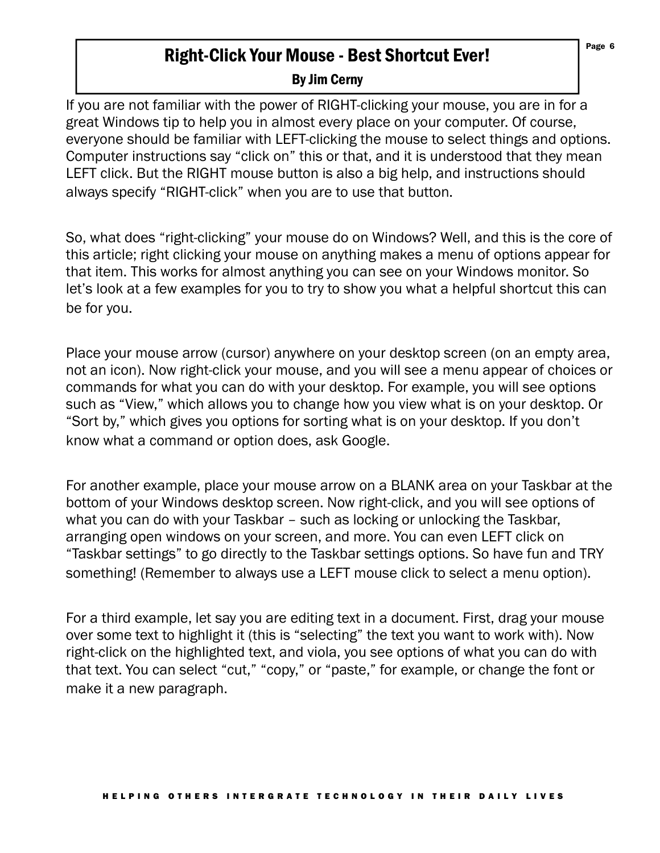# Right-Click Your Mouse - Best Shortcut Ever!

### By Jim Cerny

If you are not familiar with the power of RIGHT-clicking your mouse, you are in for a great Windows tip to help you in almost every place on your computer. Of course, everyone should be familiar with LEFT-clicking the mouse to select things and options. Computer instructions say "click on" this or that, and it is understood that they mean LEFT click. But the RIGHT mouse button is also a big help, and instructions should always specify "RIGHT-click" when you are to use that button.

So, what does "right-clicking" your mouse do on Windows? Well, and this is the core of this article; right clicking your mouse on anything makes a menu of options appear for that item. This works for almost anything you can see on your Windows monitor. So let's look at a few examples for you to try to show you what a helpful shortcut this can be for you.

Place your mouse arrow (cursor) anywhere on your desktop screen (on an empty area, not an icon). Now right-click your mouse, and you will see a menu appear of choices or commands for what you can do with your desktop. For example, you will see options such as "View," which allows you to change how you view what is on your desktop. Or "Sort by," which gives you options for sorting what is on your desktop. If you don't know what a command or option does, ask Google.

For another example, place your mouse arrow on a BLANK area on your Taskbar at the bottom of your Windows desktop screen. Now right-click, and you will see options of what you can do with your Taskbar – such as locking or unlocking the Taskbar, arranging open windows on your screen, and more. You can even LEFT click on "Taskbar settings" to go directly to the Taskbar settings options. So have fun and TRY something! (Remember to always use a LEFT mouse click to select a menu option).

For a third example, let say you are editing text in a document. First, drag your mouse over some text to highlight it (this is "selecting" the text you want to work with). Now right-click on the highlighted text, and viola, you see options of what you can do with that text. You can select "cut," "copy," or "paste," for example, or change the font or make it a new paragraph.

Page 6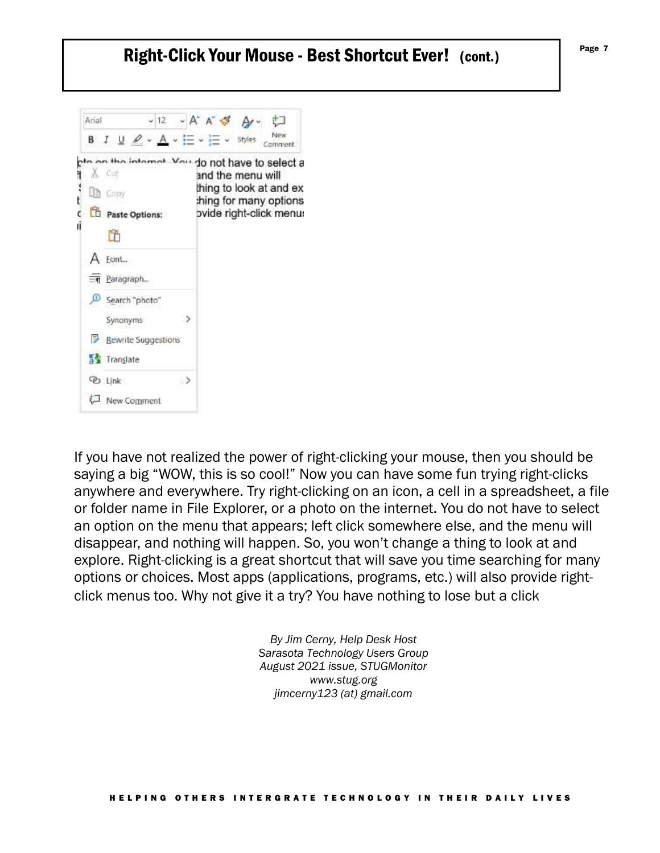# Right-Click Your Mouse - Best Shortcut Ever! (cont.)



If you have not realized the power of right-clicking your mouse, then you should be saying a big "WOW, this is so cool!" Now you can have some fun trying right-clicks anywhere and everywhere. Try right-clicking on an icon, a cell in a spreadsheet, a file or folder name in File Explorer, or a photo on the internet. You do not have to select an option on the menu that appears; left click somewhere else, and the menu will disappear, and nothing will happen. So, you won't change a thing to look at and explore. Right-clicking is a great shortcut that will save you time searching for many options or choices. Most apps (applications, programs, etc.) will also provide rightclick menus too. Why not give it a try? You have nothing to lose but a click

> *By Jim Cerny, Help Desk Host Sarasota Technology Users Group August 2021 issue, STUGMonitor www.stug.org jimcerny123 (at) gmail.com*

Page 7